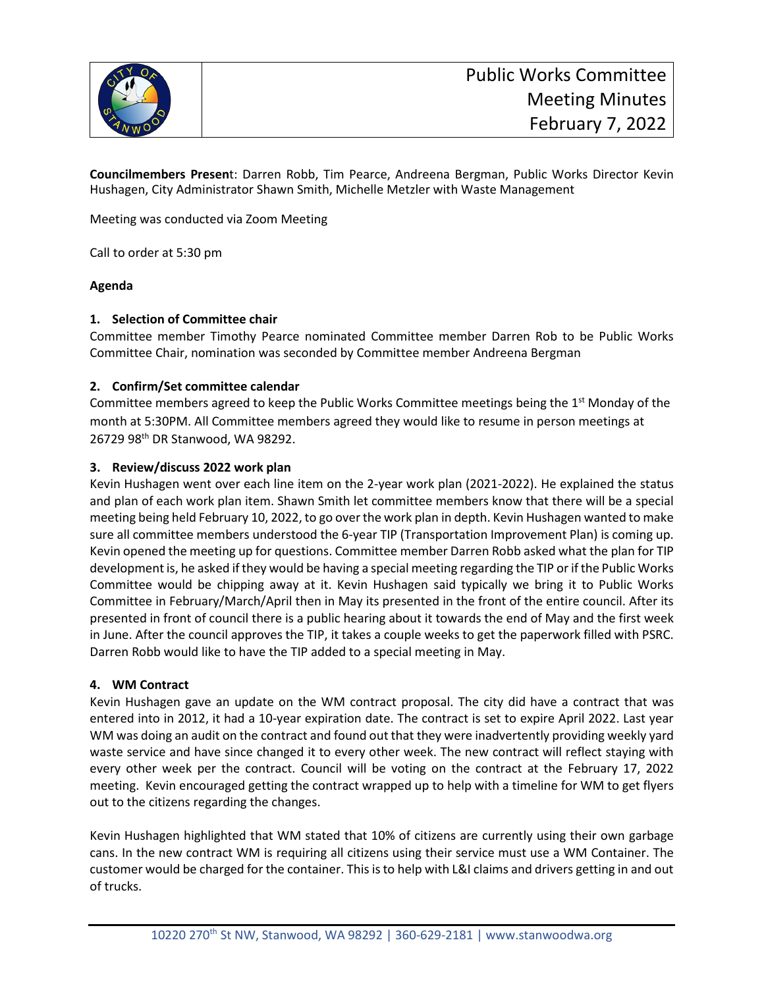

**Councilmembers Presen**t: Darren Robb, Tim Pearce, Andreena Bergman, Public Works Director Kevin Hushagen, City Administrator Shawn Smith, Michelle Metzler with Waste Management

Meeting was conducted via Zoom Meeting

Call to order at 5:30 pm

# **Agenda**

# **1. Selection of Committee chair**

Committee member Timothy Pearce nominated Committee member Darren Rob to be Public Works Committee Chair, nomination was seconded by Committee member Andreena Bergman

# **2. Confirm/Set committee calendar**

Committee members agreed to keep the Public Works Committee meetings being the 1<sup>st</sup> Monday of the month at 5:30PM. All Committee members agreed they would like to resume in person meetings at 26729 98th DR Stanwood, WA 98292.

## **3. Review/discuss 2022 work plan**

Kevin Hushagen went over each line item on the 2-year work plan (2021-2022). He explained the status and plan of each work plan item. Shawn Smith let committee members know that there will be a special meeting being held February 10, 2022, to go over the work plan in depth. Kevin Hushagen wanted to make sure all committee members understood the 6-year TIP (Transportation Improvement Plan) is coming up. Kevin opened the meeting up for questions. Committee member Darren Robb asked what the plan for TIP development is, he asked if they would be having a special meeting regarding the TIP or if the Public Works Committee would be chipping away at it. Kevin Hushagen said typically we bring it to Public Works Committee in February/March/April then in May its presented in the front of the entire council. After its presented in front of council there is a public hearing about it towards the end of May and the first week in June. After the council approves the TIP, it takes a couple weeks to get the paperwork filled with PSRC. Darren Robb would like to have the TIP added to a special meeting in May.

# **4. WM Contract**

Kevin Hushagen gave an update on the WM contract proposal. The city did have a contract that was entered into in 2012, it had a 10-year expiration date. The contract is set to expire April 2022. Last year WM was doing an audit on the contract and found out that they were inadvertently providing weekly yard waste service and have since changed it to every other week. The new contract will reflect staying with every other week per the contract. Council will be voting on the contract at the February 17, 2022 meeting. Kevin encouraged getting the contract wrapped up to help with a timeline for WM to get flyers out to the citizens regarding the changes.

Kevin Hushagen highlighted that WM stated that 10% of citizens are currently using their own garbage cans. In the new contract WM is requiring all citizens using their service must use a WM Container. The customer would be charged for the container. This isto help with L&I claims and drivers getting in and out of trucks.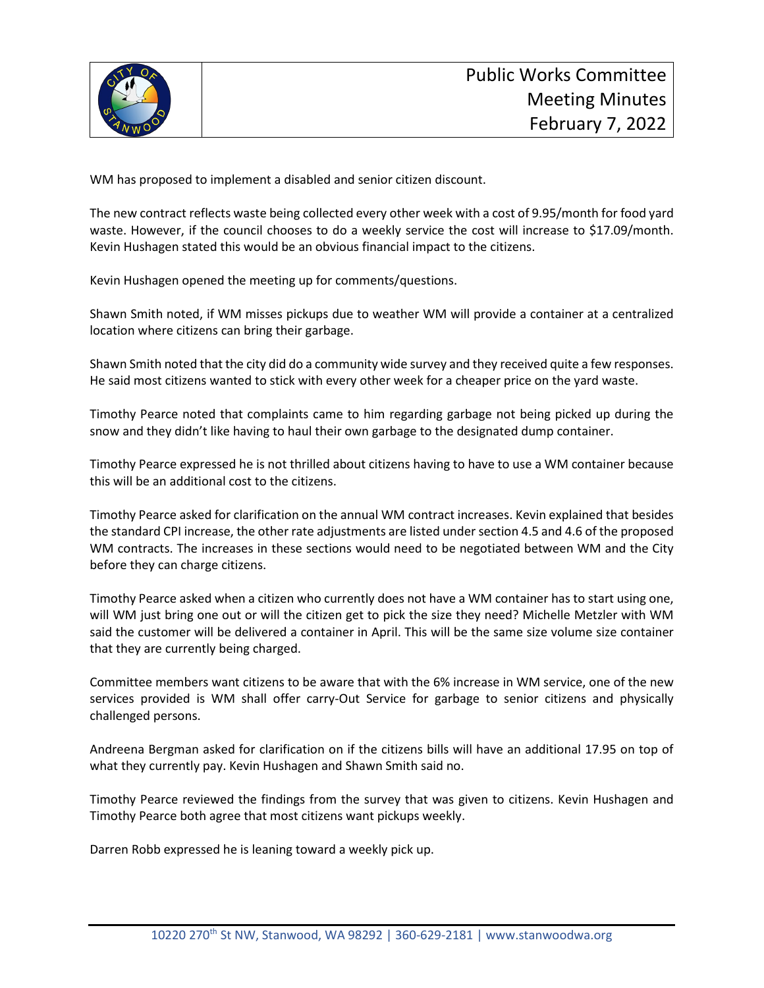

WM has proposed to implement a disabled and senior citizen discount.

The new contract reflects waste being collected every other week with a cost of 9.95/month for food yard waste. However, if the council chooses to do a weekly service the cost will increase to \$17.09/month. Kevin Hushagen stated this would be an obvious financial impact to the citizens.

Kevin Hushagen opened the meeting up for comments/questions.

Shawn Smith noted, if WM misses pickups due to weather WM will provide a container at a centralized location where citizens can bring their garbage.

Shawn Smith noted that the city did do a community wide survey and they received quite a few responses. He said most citizens wanted to stick with every other week for a cheaper price on the yard waste.

Timothy Pearce noted that complaints came to him regarding garbage not being picked up during the snow and they didn't like having to haul their own garbage to the designated dump container.

Timothy Pearce expressed he is not thrilled about citizens having to have to use a WM container because this will be an additional cost to the citizens.

Timothy Pearce asked for clarification on the annual WM contract increases. Kevin explained that besides the standard CPI increase, the other rate adjustments are listed under section 4.5 and 4.6 of the proposed WM contracts. The increases in these sections would need to be negotiated between WM and the City before they can charge citizens.

Timothy Pearce asked when a citizen who currently does not have a WM container has to start using one, will WM just bring one out or will the citizen get to pick the size they need? Michelle Metzler with WM said the customer will be delivered a container in April. This will be the same size volume size container that they are currently being charged.

Committee members want citizens to be aware that with the 6% increase in WM service, one of the new services provided is WM shall offer carry-Out Service for garbage to senior citizens and physically challenged persons.

Andreena Bergman asked for clarification on if the citizens bills will have an additional 17.95 on top of what they currently pay. Kevin Hushagen and Shawn Smith said no.

Timothy Pearce reviewed the findings from the survey that was given to citizens. Kevin Hushagen and Timothy Pearce both agree that most citizens want pickups weekly.

Darren Robb expressed he is leaning toward a weekly pick up.